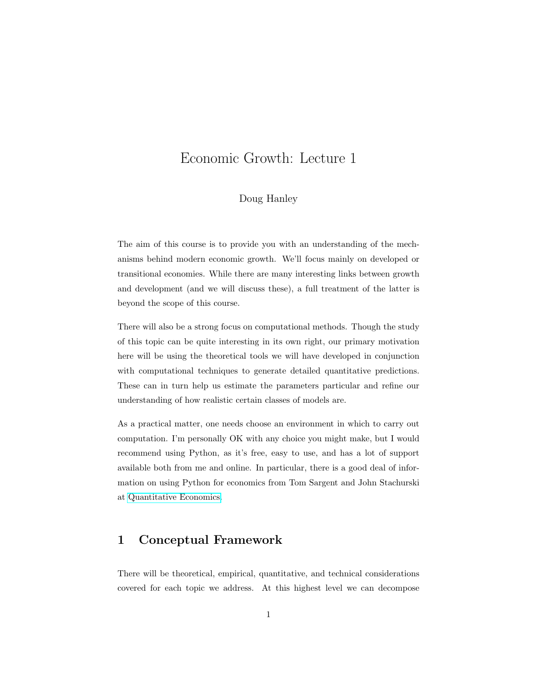# Economic Growth: Lecture 1

## Doug Hanley

The aim of this course is to provide you with an understanding of the mechanisms behind modern economic growth. We'll focus mainly on developed or transitional economies. While there are many interesting links between growth and development (and we will discuss these), a full treatment of the latter is beyond the scope of this course.

There will also be a strong focus on computational methods. Though the study of this topic can be quite interesting in its own right, our primary motivation here will be using the theoretical tools we will have developed in conjunction with computational techniques to generate detailed quantitative predictions. These can in turn help us estimate the parameters particular and refine our understanding of how realistic certain classes of models are.

As a practical matter, one needs choose an environment in which to carry out computation. I'm personally OK with any choice you might make, but I would recommend using Python, as it's free, easy to use, and has a lot of support available both from me and online. In particular, there is a good deal of information on using Python for economics from Tom Sargent and John Stachurski at [Quantitative Economics.](http://quant-econ.net/)

## 1 Conceptual Framework

There will be theoretical, empirical, quantitative, and technical considerations covered for each topic we address. At this highest level we can decompose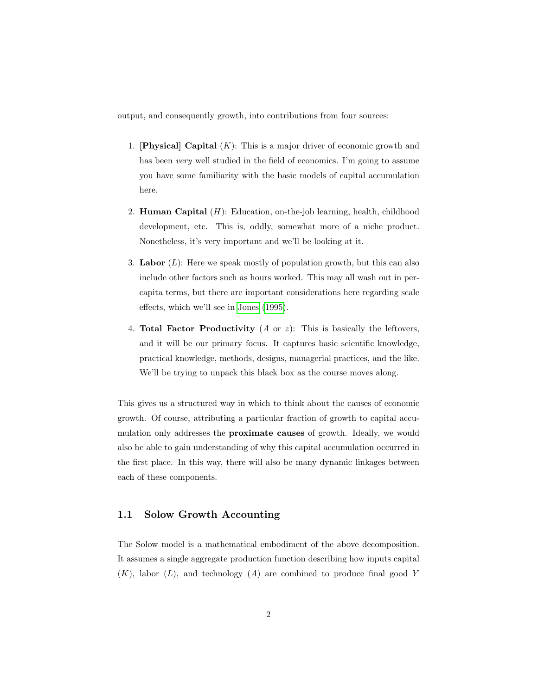output, and consequently growth, into contributions from four sources:

- 1. **[Physical] Capital**  $(K)$ : This is a major driver of economic growth and has been *very* well studied in the field of economics. I'm going to assume you have some familiarity with the basic models of capital accumulation here.
- 2. **Human Capital**  $(H)$ : Education, on-the-job learning, health, childhood development, etc. This is, oddly, somewhat more of a niche product. Nonetheless, it's very important and we'll be looking at it.
- 3. Labor  $(L)$ : Here we speak mostly of population growth, but this can also include other factors such as hours worked. This may all wash out in percapita terms, but there are important considerations here regarding scale effects, which we'll see in [Jones](#page-16-0) [\(1995\)](#page-16-0).
- 4. **Total Factor Productivity**  $(A \text{ or } z)$ : This is basically the leftovers, and it will be our primary focus. It captures basic scientific knowledge, practical knowledge, methods, designs, managerial practices, and the like. We'll be trying to unpack this black box as the course moves along.

This gives us a structured way in which to think about the causes of economic growth. Of course, attributing a particular fraction of growth to capital accumulation only addresses the proximate causes of growth. Ideally, we would also be able to gain understanding of why this capital accumulation occurred in the first place. In this way, there will also be many dynamic linkages between each of these components.

#### 1.1 Solow Growth Accounting

The Solow model is a mathematical embodiment of the above decomposition. It assumes a single aggregate production function describing how inputs capital  $(K)$ , labor  $(L)$ , and technology  $(A)$  are combined to produce final good Y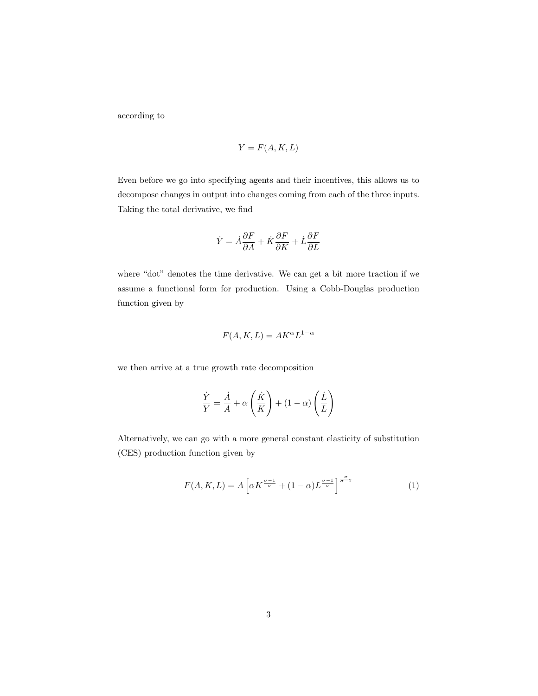according to

$$
Y = F(A, K, L)
$$

Even before we go into specifying agents and their incentives, this allows us to decompose changes in output into changes coming from each of the three inputs. Taking the total derivative, we find

$$
\dot{Y}=\dot{A}\frac{\partial F}{\partial A}+\dot{K}\frac{\partial F}{\partial K}+\dot{L}\frac{\partial F}{\partial L}
$$

where "dot" denotes the time derivative. We can get a bit more traction if we assume a functional form for production. Using a Cobb-Douglas production function given by

$$
F(A, K, L) = AK^{\alpha}L^{1-\alpha}
$$

we then arrive at a true growth rate decomposition

<span id="page-2-0"></span>
$$
\frac{\dot{Y}}{Y} = \frac{\dot{A}}{A} + \alpha \left(\frac{\dot{K}}{K}\right) + (1 - \alpha) \left(\frac{\dot{L}}{L}\right)
$$

Alternatively, we can go with a more general constant elasticity of substitution (CES) production function given by

$$
F(A, K, L) = A \left[ \alpha K^{\frac{\sigma - 1}{\sigma}} + (1 - \alpha) L^{\frac{\sigma - 1}{\sigma}} \right]^{\frac{\sigma}{\sigma - 1}} \tag{1}
$$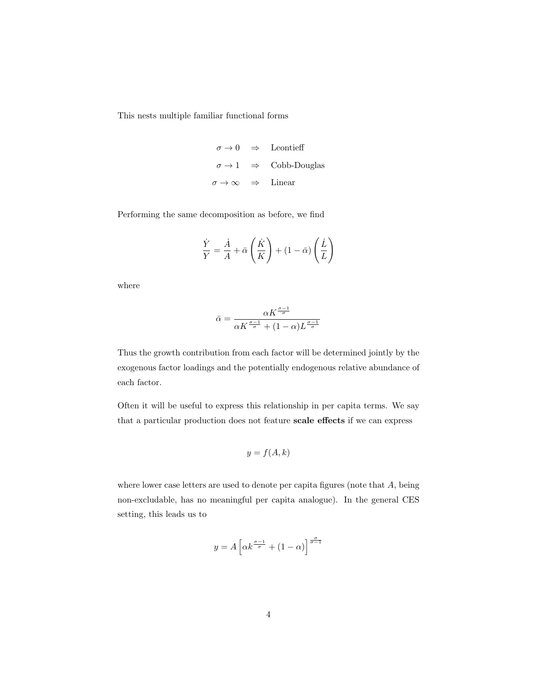This nests multiple familiar functional forms

$$
\begin{array}{rcl}\n\sigma \to 0 & \Rightarrow & \text{Leontieff} \\
\sigma \to 1 & \Rightarrow & \text{Cobb-Douglas} \\
\sigma \to \infty & \Rightarrow & \text{Linear}\n\end{array}
$$

Performing the same decomposition as before, we find

$$
\frac{\dot{Y}}{Y} = \frac{\dot{A}}{A} + \bar{\alpha} \left( \frac{\dot{K}}{K} \right) + (1 - \bar{\alpha}) \left( \frac{\dot{L}}{L} \right)
$$

where

$$
\bar{\alpha}=\frac{\alpha K^{\frac{\sigma-1}{\sigma}}}{\alpha K^{\frac{\sigma-1}{\sigma}}+(1-\alpha)L^{\frac{\sigma-1}{\sigma}}}
$$

Thus the growth contribution from each factor will be determined jointly by the exogenous factor loadings and the potentially endogenous relative abundance of each factor.

Often it will be useful to express this relationship in per capita terms. We say that a particular production does not feature scale effects if we can express

$$
y = f(A, k)
$$

where lower case letters are used to denote per capita figures (note that A, being non-excludable, has no meaningful per capita analogue). In the general CES setting, this leads us to

$$
y = A \left[ \alpha k^{\frac{\sigma - 1}{\sigma}} + (1 - \alpha) \right]^{\frac{\sigma}{\sigma - 1}}
$$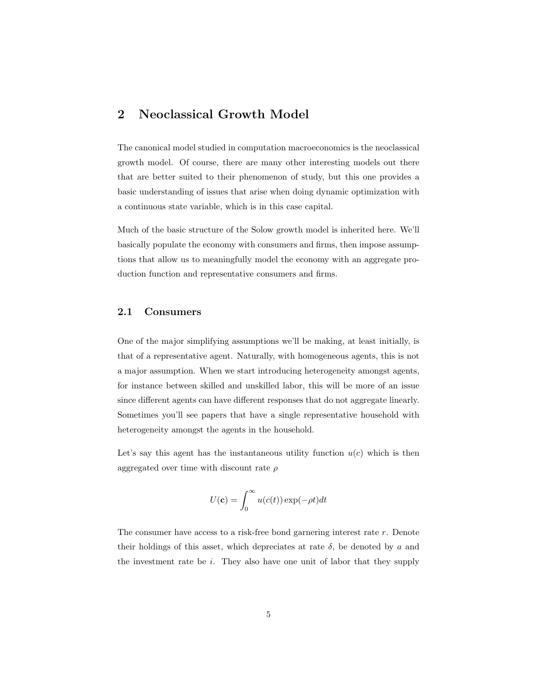## 2 Neoclassical Growth Model

The canonical model studied in computation macroeconomics is the neoclassical growth model. Of course, there are many other interesting models out there that are better suited to their phenomenon of study, but this one provides a basic understanding of issues that arise when doing dynamic optimization with a continuous state variable, which is in this case capital.

Much of the basic structure of the Solow growth model is inherited here. We'll basically populate the economy with consumers and firms, then impose assumptions that allow us to meaningfully model the economy with an aggregate production function and representative consumers and firms.

#### 2.1 Consumers

One of the major simplifying assumptions we'll be making, at least initially, is that of a representative agent. Naturally, with homogeneous agents, this is not a major assumption. When we start introducing heterogeneity amongst agents, for instance between skilled and unskilled labor, this will be more of an issue since different agents can have different responses that do not aggregate linearly. Sometimes you'll see papers that have a single representative household with heterogeneity amongst the agents in the household.

Let's say this agent has the instantaneous utility function  $u(c)$  which is then aggregated over time with discount rate  $\rho$ 

$$
U(\mathbf{c}) = \int_0^\infty u(c(t)) \exp(-\rho t) dt
$$

The consumer have access to a risk-free bond garnering interest rate r. Denote their holdings of this asset, which depreciates at rate  $\delta$ , be denoted by a and the investment rate be i. They also have one unit of labor that they supply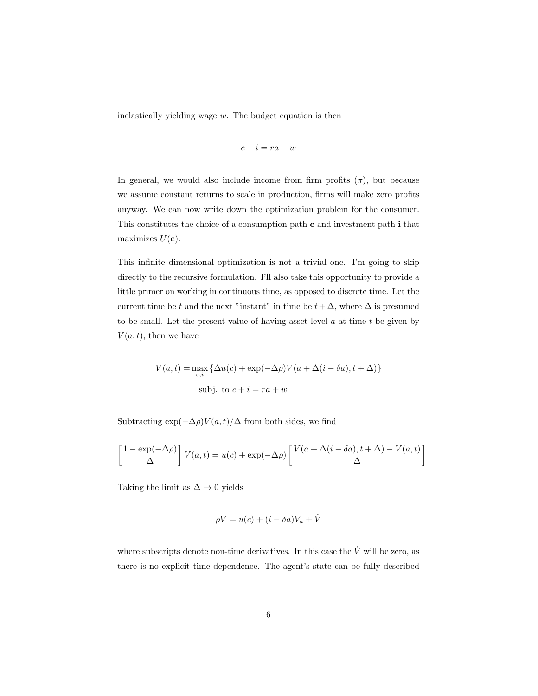inelastically yielding wage  $w$ . The budget equation is then

$$
c+i=ra+w
$$

In general, we would also include income from firm profits  $(\pi)$ , but because we assume constant returns to scale in production, firms will make zero profits anyway. We can now write down the optimization problem for the consumer. This constitutes the choice of a consumption path c and investment path i that maximizes  $U(\mathbf{c})$ .

This infinite dimensional optimization is not a trivial one. I'm going to skip directly to the recursive formulation. I'll also take this opportunity to provide a little primer on working in continuous time, as opposed to discrete time. Let the current time be t and the next "instant" in time be  $t + \Delta$ , where  $\Delta$  is presumed to be small. Let the present value of having asset level  $a$  at time  $t$  be given by  $V(a, t)$ , then we have

$$
V(a,t) = \max_{c,i} \{ \Delta u(c) + \exp(-\Delta \rho) V(a + \Delta(i - \delta a), t + \Delta) \}
$$
  
subj. to  $c + i = ra + w$ 

Subtracting  $\exp(-\Delta \rho)V(a, t)/\Delta$  from both sides, we find

$$
\left[\frac{1 - \exp(-\Delta \rho)}{\Delta}\right] V(a, t) = u(c) + \exp(-\Delta \rho) \left[\frac{V(a + \Delta(i - \delta a), t + \Delta) - V(a, t)}{\Delta}\right]
$$

Taking the limit as  $\Delta \rightarrow 0$  yields

$$
\rho V = u(c) + (i - \delta a)V_a + \dot{V}
$$

where subscripts denote non-time derivatives. In this case the  $\dot{V}$  will be zero, as there is no explicit time dependence. The agent's state can be fully described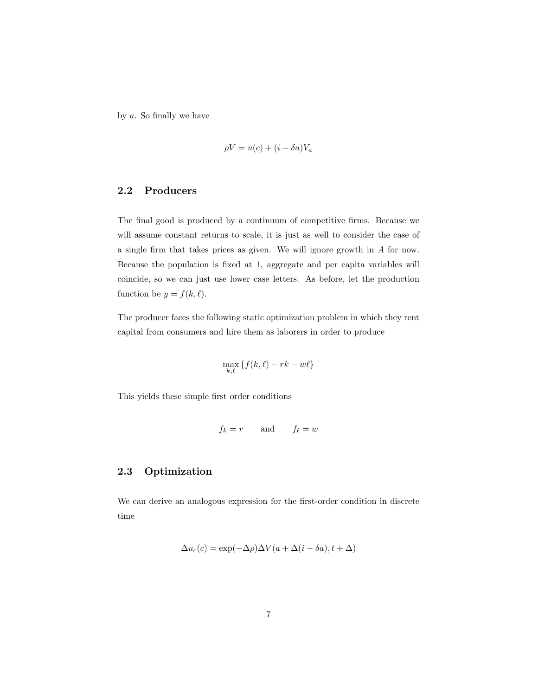by  $a$ . So finally we have

$$
\rho V = u(c) + (i - \delta a)V_a
$$

#### 2.2 Producers

The final good is produced by a continuum of competitive firms. Because we will assume constant returns to scale, it is just as well to consider the case of a single firm that takes prices as given. We will ignore growth in A for now. Because the population is fixed at 1, aggregate and per capita variables will coincide, so we can just use lower case letters. As before, let the production function be  $y = f(k, \ell)$ .

The producer faces the following static optimization problem in which they rent capital from consumers and hire them as laborers in order to produce

$$
\max_{k,\ell}\left\{f(k,\ell)-rk-w\ell\right\}
$$

This yields these simple first order conditions

$$
f_k = r \qquad \text{and} \qquad f_\ell = w
$$

#### 2.3 Optimization

We can derive an analogous expression for the first-order condition in discrete time

$$
\Delta u_c(c) = \exp(-\Delta \rho) \Delta V(a + \Delta(i - \delta a), t + \Delta)
$$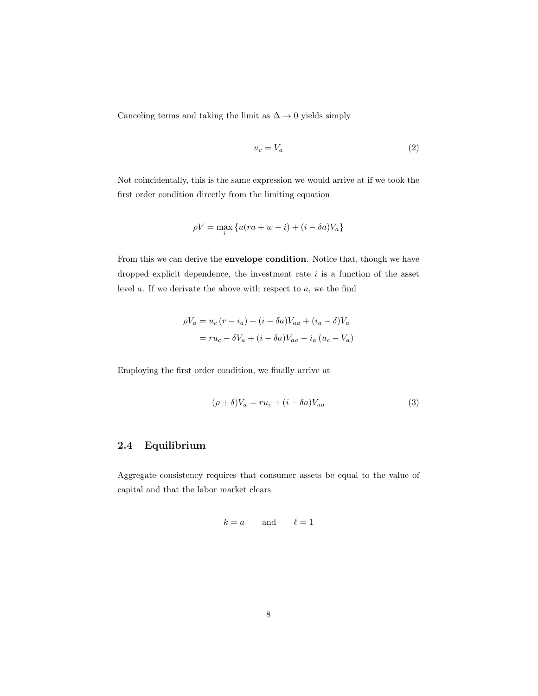Canceling terms and taking the limit as  $\Delta \rightarrow 0$  yields simply

<span id="page-7-1"></span>
$$
u_c = V_a \tag{2}
$$

Not coincidentally, this is the same expression we would arrive at if we took the first order condition directly from the limiting equation

$$
\rho V = \max_{i} \left\{ u(ra + w - i) + (i - \delta a)V_a \right\}
$$

From this we can derive the envelope condition. Notice that, though we have dropped explicit dependence, the investment rate  $i$  is a function of the asset level  $a$ . If we derivate the above with respect to  $a$ , we the find

$$
\rho V_a = u_c (r - i_a) + (i - \delta a) V_{aa} + (i_a - \delta) V_a
$$

$$
= r u_c - \delta V_a + (i - \delta a) V_{aa} - i_a (u_c - V_a)
$$

Employing the first order condition, we finally arrive at

<span id="page-7-0"></span>
$$
(\rho + \delta)V_a = ru_c + (i - \delta a)V_{aa} \tag{3}
$$

#### 2.4 Equilibrium

Aggregate consistency requires that consumer assets be equal to the value of capital and that the labor market clears

$$
k = a \qquad \text{and} \qquad \ell = 1
$$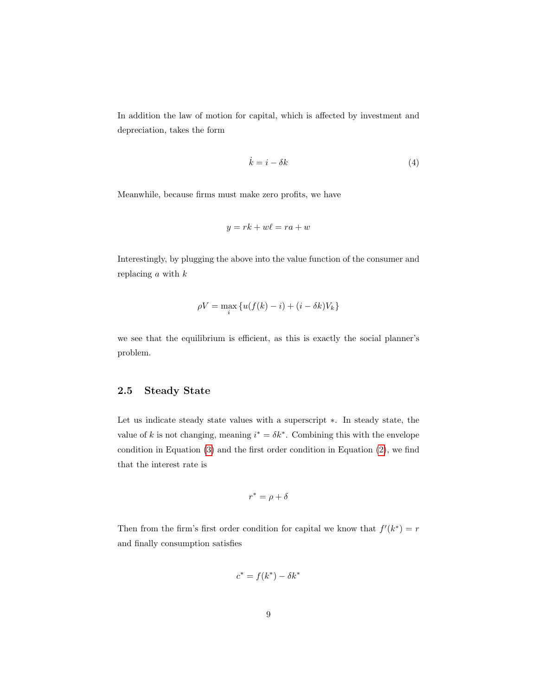In addition the law of motion for capital, which is affected by investment and depreciation, takes the form

<span id="page-8-0"></span>
$$
\dot{k} = i - \delta k \tag{4}
$$

Meanwhile, because firms must make zero profits, we have

$$
y = rk + w\ell = ra + w
$$

Interestingly, by plugging the above into the value function of the consumer and replacing  $a$  with  $k$ 

$$
\rho V = \max_{i} \left\{ u(f(k) - i) + (i - \delta k)V_k \right\}
$$

we see that the equilibrium is efficient, as this is exactly the social planner's problem.

#### 2.5 Steady State

Let us indicate steady state values with a superscript ∗. In steady state, the value of k is not changing, meaning  $i^* = \delta k^*$ . Combining this with the envelope condition in Equation [\(3\)](#page-7-0) and the first order condition in Equation [\(2\)](#page-7-1), we find that the interest rate is

$$
r^* = \rho + \delta
$$

Then from the firm's first order condition for capital we know that  $f'(k^*) = r$ and finally consumption satisfies

$$
c^* = f(k^*) - \delta k^*
$$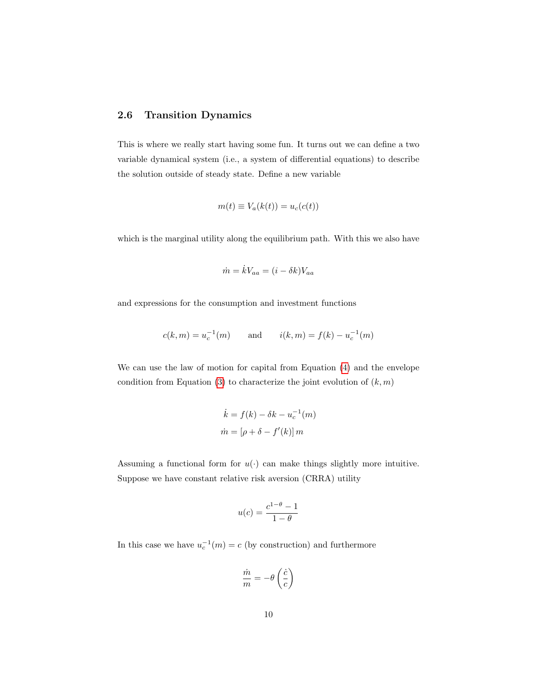#### <span id="page-9-0"></span>2.6 Transition Dynamics

This is where we really start having some fun. It turns out we can define a two variable dynamical system (i.e., a system of differential equations) to describe the solution outside of steady state. Define a new variable

$$
m(t) \equiv V_a(k(t)) = u_c(c(t))
$$

which is the marginal utility along the equilibrium path. With this we also have

$$
\dot{m} = \dot{k}V_{aa} = (i - \delta k)V_{aa}
$$

and expressions for the consumption and investment functions

$$
c(k, m) = u_c^{-1}(m)
$$
 and  $i(k, m) = f(k) - u_c^{-1}(m)$ 

We can use the law of motion for capital from Equation [\(4\)](#page-8-0) and the envelope condition from Equation [\(3\)](#page-7-0) to characterize the joint evolution of  $(k, m)$ 

$$
\dot{k} = f(k) - \delta k - u_c^{-1}(m)
$$

$$
\dot{m} = [\rho + \delta - f'(k)]m
$$

Assuming a functional form for  $u(\cdot)$  can make things slightly more intuitive. Suppose we have constant relative risk aversion (CRRA) utility

$$
u(c) = \frac{c^{1-\theta} - 1}{1 - \theta}
$$

In this case we have  $u_c^{-1}(m) = c$  (by construction) and furthermore

$$
\frac{\dot{m}}{m} = -\theta \left(\frac{\dot{c}}{c}\right)
$$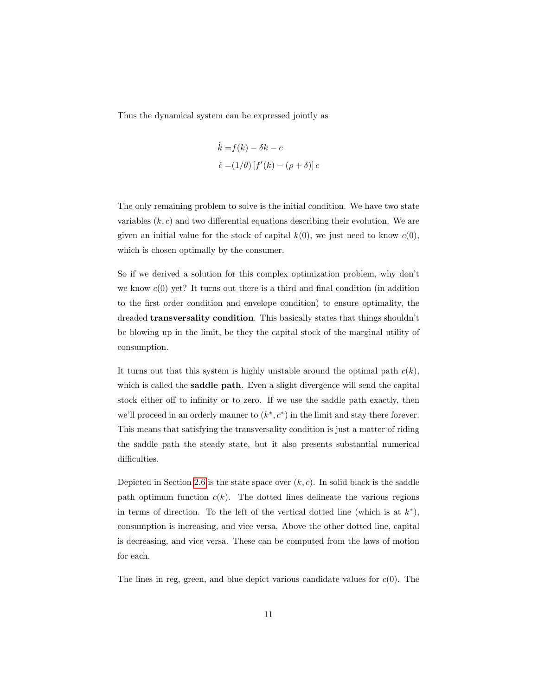Thus the dynamical system can be expressed jointly as

$$
\dot{k} = f(k) - \delta k - c
$$

$$
\dot{c} = (1/\theta) [f'(k) - (\rho + \delta)] c
$$

The only remaining problem to solve is the initial condition. We have two state variables  $(k, c)$  and two differential equations describing their evolution. We are given an initial value for the stock of capital  $k(0)$ , we just need to know  $c(0)$ , which is chosen optimally by the consumer.

So if we derived a solution for this complex optimization problem, why don't we know  $c(0)$  yet? It turns out there is a third and final condition (in addition to the first order condition and envelope condition) to ensure optimality, the dreaded transversality condition. This basically states that things shouldn't be blowing up in the limit, be they the capital stock of the marginal utility of consumption.

It turns out that this system is highly unstable around the optimal path  $c(k)$ , which is called the **saddle path**. Even a slight divergence will send the capital stock either off to infinity or to zero. If we use the saddle path exactly, then we'll proceed in an orderly manner to  $(k^*, c^*)$  in the limit and stay there forever. This means that satisfying the transversality condition is just a matter of riding the saddle path the steady state, but it also presents substantial numerical difficulties.

Depicted in Section [2.6](#page-9-0) is the state space over  $(k, c)$ . In solid black is the saddle path optimum function  $c(k)$ . The dotted lines delineate the various regions in terms of direction. To the left of the vertical dotted line (which is at  $k^*$ ), consumption is increasing, and vice versa. Above the other dotted line, capital is decreasing, and vice versa. These can be computed from the laws of motion for each.

The lines in reg, green, and blue depict various candidate values for  $c(0)$ . The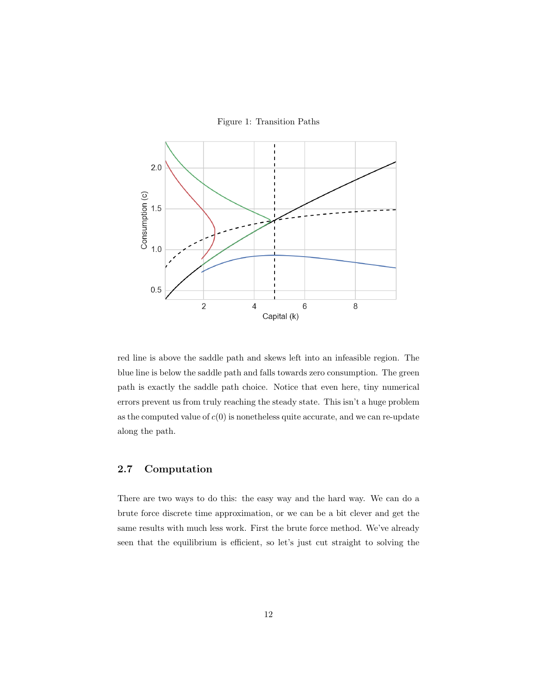Figure 1: Transition Paths



red line is above the saddle path and skews left into an infeasible region. The blue line is below the saddle path and falls towards zero consumption. The green path is exactly the saddle path choice. Notice that even here, tiny numerical errors prevent us from truly reaching the steady state. This isn't a huge problem as the computed value of  $c(0)$  is nonetheless quite accurate, and we can re-update along the path.

### 2.7 Computation

There are two ways to do this: the easy way and the hard way. We can do a brute force discrete time approximation, or we can be a bit clever and get the same results with much less work. First the brute force method. We've already seen that the equilibrium is efficient, so let's just cut straight to solving the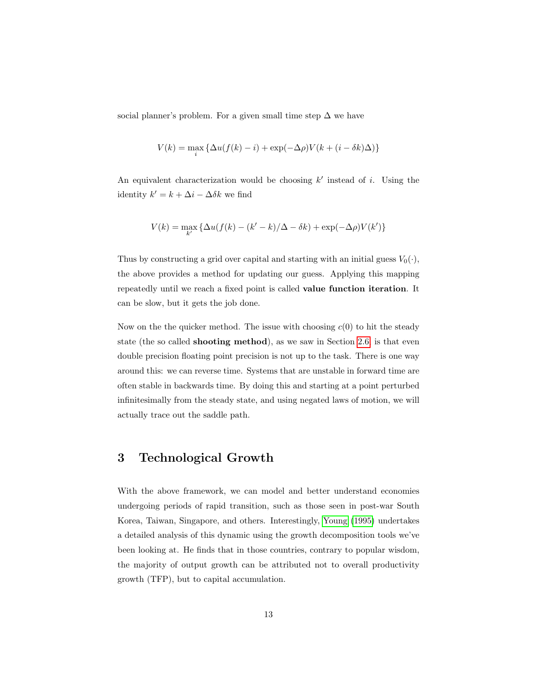social planner's problem. For a given small time step  $\Delta$  we have

$$
V(k) = \max_{i} \{ \Delta u(f(k) - i) + \exp(-\Delta \rho) V(k + (i - \delta k)\Delta) \}
$$

An equivalent characterization would be choosing  $k'$  instead of i. Using the identity  $k' = k + \Delta i - \Delta \delta k$  we find

$$
V(k) = \max_{k'} \left\{ \Delta u(f(k) - (k'-k)/\Delta - \delta k) + \exp(-\Delta \rho) V(k') \right\}
$$

Thus by constructing a grid over capital and starting with an initial guess  $V_0(\cdot)$ , the above provides a method for updating our guess. Applying this mapping repeatedly until we reach a fixed point is called value function iteration. It can be slow, but it gets the job done.

Now on the the quicker method. The issue with choosing  $c(0)$  to hit the steady state (the so called shooting method), as we saw in Section [2.6,](#page-9-0) is that even double precision floating point precision is not up to the task. There is one way around this: we can reverse time. Systems that are unstable in forward time are often stable in backwards time. By doing this and starting at a point perturbed infinitesimally from the steady state, and using negated laws of motion, we will actually trace out the saddle path.

## 3 Technological Growth

With the above framework, we can model and better understand economies undergoing periods of rapid transition, such as those seen in post-war South Korea, Taiwan, Singapore, and others. Interestingly, [Young](#page-16-1) [\(1995\)](#page-16-1) undertakes a detailed analysis of this dynamic using the growth decomposition tools we've been looking at. He finds that in those countries, contrary to popular wisdom, the majority of output growth can be attributed not to overall productivity growth (TFP), but to capital accumulation.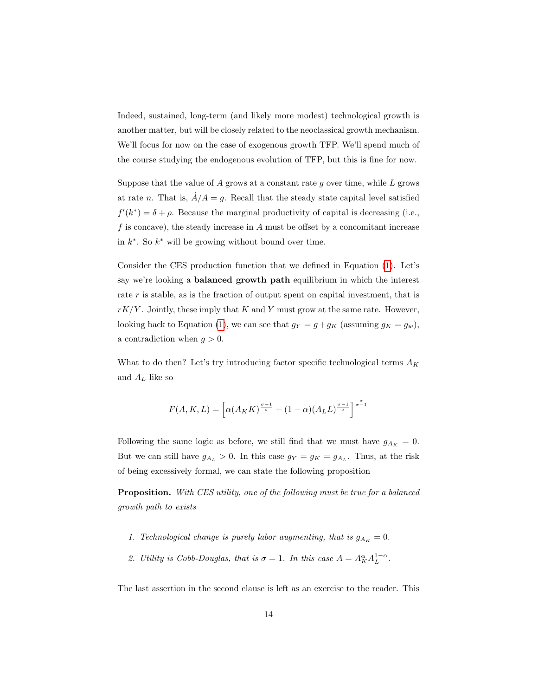Indeed, sustained, long-term (and likely more modest) technological growth is another matter, but will be closely related to the neoclassical growth mechanism. We'll focus for now on the case of exogenous growth TFP. We'll spend much of the course studying the endogenous evolution of TFP, but this is fine for now.

Suppose that the value of  $A$  grows at a constant rate  $g$  over time, while  $L$  grows at rate n. That is,  $\dot{A}/A = g$ . Recall that the steady state capital level satisfied  $f'(k^*) = \delta + \rho$ . Because the marginal productivity of capital is decreasing (i.e., f is concave), the steady increase in  $A$  must be offset by a concomitant increase in  $k^*$ . So  $k^*$  will be growing without bound over time.

Consider the CES production function that we defined in Equation [\(1\)](#page-2-0). Let's say we're looking a balanced growth path equilibrium in which the interest rate r is stable, as is the fraction of output spent on capital investment, that is  $rK/Y$ . Jointly, these imply that K and Y must grow at the same rate. However, looking back to Equation [\(1\)](#page-2-0), we can see that  $g_Y = g + g_K$  (assuming  $g_K = g_w$ ), a contradiction when  $g > 0$ .

What to do then? Let's try introducing factor specific technological terms  $A_K$ and  $A_L$  like so

$$
F(A, K, L) = \left[ \alpha(A_K K)^{\frac{\sigma - 1}{\sigma}} + (1 - \alpha)(A_L L)^{\frac{\sigma - 1}{\sigma}} \right]^{\frac{\sigma}{\sigma - 1}}
$$

Following the same logic as before, we still find that we must have  $g_{A_K} = 0$ . But we can still have  $g_{A_L} > 0$ . In this case  $g_Y = g_K = g_{A_L}$ . Thus, at the risk of being excessively formal, we can state the following proposition

Proposition. With CES utility, one of the following must be true for a balanced growth path to exists

- 1. Technological change is purely labor augmenting, that is  $g_{A_K} = 0$ .
- 2. Utility is Cobb-Douglas, that is  $\sigma = 1$ . In this case  $A = A_K^{\alpha} A_L^{1-\alpha}$ .

The last assertion in the second clause is left as an exercise to the reader. This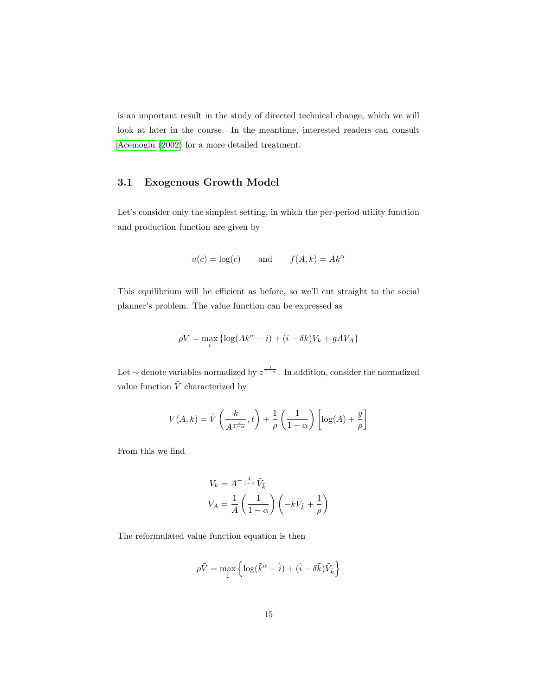is an important result in the study of directed technical change, which we will look at later in the course. In the meantime, interested readers can consult [Acemoglu](#page-16-2) [\(2002\)](#page-16-2) for a more detailed treatment.

#### 3.1 Exogenous Growth Model

Let's consider only the simplest setting, in which the per-period utility function and production function are given by

$$
u(c) = \log(c)
$$
 and  $f(A, k) = Ak^{\alpha}$ 

This equilibrium will be efficient as before, so we'll cut straight to the social planner's problem. The value function can be expressed as

$$
\rho V = \max_{i} \{ \log(Ak^{\alpha} - i) + (i - \delta k)V_k + gAV_A \}
$$

Let  $\sim$  denote variables normalized by  $z^{\frac{1}{1-\alpha}}$ . In addition, consider the normalized value function  $\tilde{V}$  characterized by

$$
V(A,k) = \tilde{V}\left(\frac{k}{A^{\frac{1}{1-\alpha}}},t\right) + \frac{1}{\rho}\left(\frac{1}{1-\alpha}\right)\left[\log(A) + \frac{g}{\rho}\right]
$$

From this we find

$$
V_k = A^{-\frac{1}{1-\alpha}} \tilde{V}_{\tilde{k}}
$$

$$
V_A = \frac{1}{A} \left( \frac{1}{1-\alpha} \right) \left( -\tilde{k} \tilde{V}_{\tilde{k}} + \frac{1}{\rho} \right)
$$

The reformulated value function equation is then

$$
\rho \tilde{V} = \max_{\tilde{i}} \left\{ \log ( \tilde{k}^\alpha - \tilde{i} ) + ( \tilde{i} - \bar{\delta} \tilde{k} ) \tilde{V}_{\tilde{k}} \right\}
$$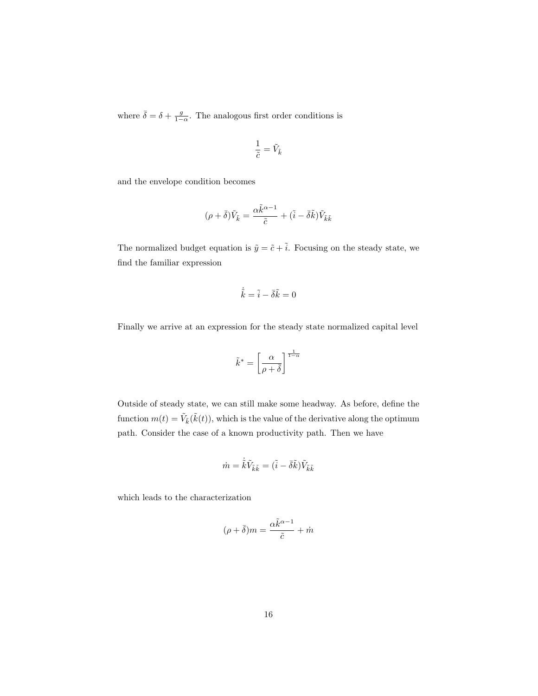where  $\bar{\delta} = \delta + \frac{g}{1-\alpha}$ . The analogous first order conditions is

$$
\frac{1}{\tilde{c}}=\tilde{V}_{\tilde{k}}
$$

and the envelope condition becomes

$$
(\rho+\bar{\delta})\tilde{V}_{\tilde{k}}=\frac{\alpha\tilde{k}^{\alpha-1}}{\tilde{c}}+(\tilde{i}-\bar{\delta}\tilde{k})\tilde{V}_{\tilde{k}\tilde{k}}
$$

The normalized budget equation is  $\tilde{y} = \tilde{c} + \tilde{i}$ . Focusing on the steady state, we find the familiar expression

$$
\dot{\tilde{k}}=\tilde{i}-\bar{\delta}\tilde{k}=0
$$

Finally we arrive at an expression for the steady state normalized capital level

$$
\tilde{k}^* = \left[\frac{\alpha}{\rho + \bar{\delta}}\right]^{\frac{1}{1-\alpha}}
$$

Outside of steady state, we can still make some headway. As before, define the function  $m(t) = \tilde{V}_{\tilde{k}}(\tilde{k}(t))$ , which is the value of the derivative along the optimum path. Consider the case of a known productivity path. Then we have

$$
\dot{m}=\dot{\tilde{k}}\tilde{V}_{\tilde{k}\tilde{k}}=(\tilde{i}-\bar{\delta}\tilde{k})\tilde{V}_{\tilde{k}\tilde{k}}
$$

which leads to the characterization

$$
(\rho+\bar{\delta})m=\frac{\alpha\tilde{k}^{\alpha-1}}{\tilde{c}}+\dot{m}
$$